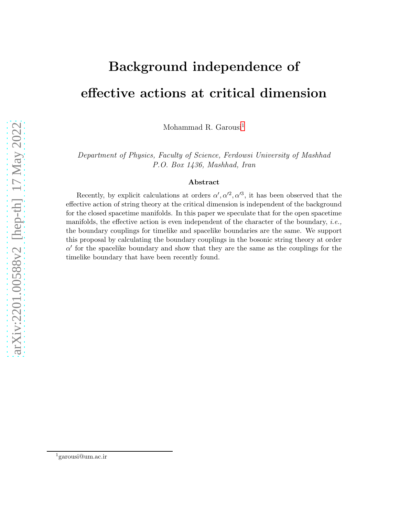# Background independence of effective actions at critical dimension

Mohammad R. Garousi<sup>[1](#page-0-0)</sup>

Department of Physics, Faculty of Science, Ferdowsi University of Mashhad P.O. Box 1436, Mashhad, Iran

#### Abstract

Recently, by explicit calculations at orders  $\alpha', \alpha'^2, \alpha'^3$ , it has been observed that the effective action of string theory at the critical dimension is independent of the background for the closed spacetime manifolds. In this paper we speculate that for the open spacetime manifolds, the effective action is even independent of the character of the boundary, i.e., the boundary couplings for timelike and spacelike boundaries are the same. We support this proposal by calculating the boundary couplings in the bosonic string theory at order  $\alpha'$  for the spacelike boundary and show that they are the same as the couplings for the timelike boundary that have been recently found.

<span id="page-0-0"></span><sup>1</sup>garousi@um.ac.ir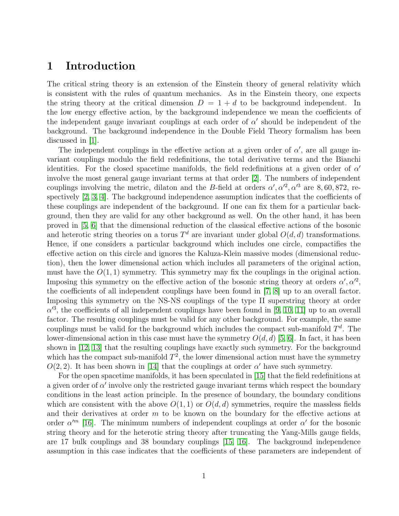#### 1 Introduction

The critical string theory is an extension of the Einstein theory of general relativity which is consistent with the rules of quantum mechanics. As in the Einstein theory, one expects the string theory at the critical dimension  $D = 1 + d$  to be background independent. In the low energy effective action, by the background independence we mean the coefficients of the independent gauge invariant couplings at each order of  $\alpha'$  should be independent of the background. The background independence in the Double Field Theory formalism has been discussed in [\[1\]](#page-13-0).

The independent couplings in the effective action at a given order of  $\alpha'$ , are all gauge invariant couplings modulo the field redefinitions, the total derivative terms and the Bianchi identities. For the closed spacetime manifolds, the field redefinitions at a given order of  $\alpha'$ involve the most general gauge invariant terms at that order [\[2\]](#page-13-1). The numbers of independent couplings involving the metric, dilaton and the B-field at orders  $\alpha', \alpha'^2, \alpha'^3$  are 8,60,872, respectively [\[2,](#page-13-1) [3,](#page-13-2) [4\]](#page-13-3). The background independence assumption indicates that the coefficients of these couplings are independent of the background. If one can fix them for a particular background, then they are valid for any other background as well. On the other hand, it has been proved in [\[5,](#page-13-4) [6\]](#page-14-0) that the dimensional reduction of the classical effective actions of the bosonic and heterotic string theories on a torus  $T<sup>d</sup>$  are invariant under global  $O(d, d)$  transformations. Hence, if one considers a particular background which includes one circle, compactifies the effective action on this circle and ignores the Kaluza-Klein massive modes (dimensional reduction), then the lower dimensional action which includes all parameters of the original action, must have the  $O(1, 1)$  symmetry. This symmetry may fix the couplings in the original action. Imposing this symmetry on the effective action of the bosonic string theory at orders  $\alpha', \alpha'^2$ , the coefficients of all independent couplings have been found in [\[7,](#page-14-1) [8\]](#page-14-2) up to an overall factor. Imposing this symmetry on the NS-NS couplings of the type II superstring theory at order  $\alpha'^3$ , the coefficients of all independent couplings have been found in [\[9,](#page-14-3) [10,](#page-14-4) [11\]](#page-14-5) up to an overall factor. The resulting couplings must be valid for any other background. For example, the same couplings must be valid for the background which includes the compact sub-manifold  $T<sup>d</sup>$ . The lower-dimensional action in this case must have the symmetry  $O(d, d)$  [\[5,](#page-13-4) [6\]](#page-14-0). In fact, it has been shown in [\[12,](#page-14-6) [13\]](#page-14-7) that the resulting couplings have exactly such symmetry. For the background which has the compact sub-manifold  $T^2$ , the lower dimensional action must have the symmetry  $O(2, 2)$ . It has been shown in [\[14\]](#page-14-8) that the couplings at order  $\alpha'$  have such symmetry.

For the open spacetime manifolds, it has been speculated in [\[15\]](#page-14-9) that the field redefinitions at a given order of  $\alpha'$  involve only the restricted gauge invariant terms which respect the boundary conditions in the least action principle. In the presence of boundary, the boundary conditions which are consistent with the above  $O(1,1)$  or  $O(d,d)$  symmetries, require the massless fields and their derivatives at order  $m$  to be known on the boundary for the effective actions at order  $\alpha^{\prime m}$  [\[16\]](#page-14-10). The minimum numbers of independent couplings at order  $\alpha^{\prime}$  for the bosonic string theory and for the heterotic string theory after truncating the Yang-Mills gauge fields, are 17 bulk couplings and 38 boundary couplings [\[15,](#page-14-9) [16\]](#page-14-10). The background independence assumption in this case indicates that the coefficients of these parameters are independent of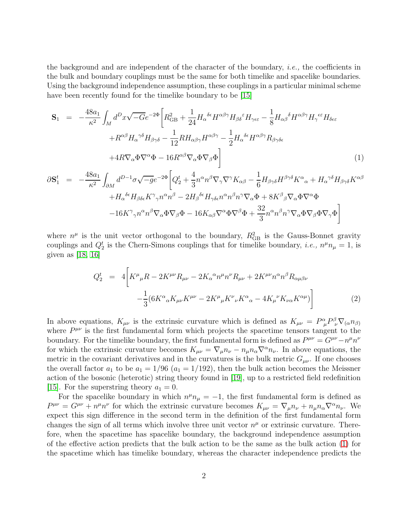the background and are independent of the character of the boundary, *i.e.*, the coefficients in the bulk and boundary couplings must be the same for both timelike and spacelike boundaries. Using the background independence assumption, these couplings in a particular minimal scheme have been recently found for the timelike boundary to be [\[15\]](#page-14-9)

<span id="page-2-0"></span>
$$
\mathbf{S}_{1} = -\frac{48a_{1}}{\kappa^{2}} \int_{M} d^{D}x \sqrt{-G} e^{-2\Phi} \left[ R_{\text{GB}}^{2} + \frac{1}{24} H_{\alpha}{}^{\delta \epsilon} H^{\alpha \beta \gamma} H_{\beta \delta}{}^{\epsilon} H_{\gamma \epsilon \epsilon} - \frac{1}{8} H_{\alpha \beta}{}^{\delta} H^{\alpha \beta \gamma} H_{\gamma}{}^{\epsilon \epsilon} H_{\delta \epsilon \epsilon} + R^{\alpha \beta} H_{\alpha}{}^{\gamma \delta} H_{\beta \gamma \delta} - \frac{1}{12} R H_{\alpha \beta \gamma} H^{\alpha \beta \gamma} - \frac{1}{2} H_{\alpha}{}^{\delta \epsilon} H^{\alpha \beta \gamma} R_{\beta \gamma \delta \epsilon} + 4R \nabla_{\alpha} \Phi \nabla^{\alpha} \Phi - 16 R^{\alpha \beta} \nabla_{\alpha} \Phi \nabla_{\beta} \Phi \right]
$$
\n
$$
\mathbf{S}_{1} = \begin{pmatrix} 48a_{1} \int_{\mathcal{A}} d^{D-1} \pi \sqrt{-g} e^{-2\Phi} \left[ O_{\mathbf{L}}^{t} + \frac{4}{2} \alpha^{a} \pi^{\beta} \nabla_{\beta} \nabla \nabla^{\gamma} K \right] & \mathbf{I}_{H} & H^{\beta \gamma \delta} K^{\alpha} + H^{\gamma \delta} H & K^{\alpha \beta} \end{pmatrix}
$$
\n
$$
(1)
$$

$$
\partial S_{1}^{t} = -\frac{48a_{1}}{\kappa^{2}} \int_{\partial M} d^{D-1} \sigma \sqrt{-g} e^{-2\Phi} \left[ Q_{2}^{t} + \frac{4}{3} n^{\alpha} n^{\beta} \nabla_{\gamma} \nabla^{\gamma} K_{\alpha\beta} - \frac{1}{6} H_{\beta\gamma\delta} H^{\beta\gamma\delta} K^{\alpha}{}_{\alpha} + H_{\alpha}{}^{\gamma\delta} H_{\beta\gamma\delta} K^{\alpha\beta} + H_{\alpha}{}^{\delta\epsilon} H_{\beta\delta\epsilon} K^{\gamma}{}_{\gamma} n^{\alpha} n^{\beta} - 2 H_{\beta}{}^{\delta\epsilon} H_{\gamma\delta\epsilon} n^{\alpha} n^{\beta} n^{\gamma} \nabla_{\alpha} \Phi + 8 K^{\beta}{}_{\beta} \nabla_{\alpha} \Phi \nabla^{\alpha} \Phi - 16 K^{\gamma}{}_{\gamma} n^{\alpha} n^{\beta} \nabla_{\alpha} \Phi \nabla_{\beta} \Phi - 16 K_{\alpha\beta} \nabla^{\alpha} \Phi \nabla^{\beta} \Phi + \frac{32}{3} n^{\alpha} n^{\beta} n^{\gamma} \nabla_{\alpha} \Phi \nabla_{\beta} \Phi \nabla_{\gamma} \Phi \right]
$$

where  $n^{\mu}$  is the unit vector orthogonal to the boundary,  $R_{GB}^2$  is the Gauss-Bonnet gravity couplings and  $Q_2^t$  is the Chern-Simons couplings that for timelike boundary, *i.e.*,  $n^{\mu}n_{\mu} = 1$ , is given as  $[18, 16]$  $[18, 16]$ 

<span id="page-2-1"></span>
$$
Q_2^t = 4 \bigg[ K^{\mu}{}_{\mu} R - 2K^{\mu\nu} R_{\mu\nu} - 2K_{\alpha}{}^{\alpha} n^{\mu} n^{\nu} R_{\mu\nu} + 2K^{\mu\nu} n^{\alpha} n^{\beta} R_{\alpha\mu\beta\nu} - \frac{1}{3} (6K^{\alpha}{}_{\alpha} K_{\mu\nu} K^{\mu\nu} - 2K^{\mu}{}_{\mu} K^{\nu}{}_{\nu} K^{\alpha}{}_{\alpha} - 4K_{\mu}{}^{\nu} K_{\nu\alpha} K^{\alpha\mu}) \bigg]
$$
(2)

In above equations,  $K_{\mu\nu}$  is the extrinsic curvature which is defined as  $K_{\mu\nu} = P^{\alpha}_{\mu} P^{\beta}_{\nu} \nabla_{(\alpha} n_{\beta)}$ where  $P^{\mu\nu}$  is the first fundamental form which projects the spacetime tensors tangent to the boundary. For the timelike boundary, the first fundamental form is defined as  $P^{\mu\nu} = G^{\mu\nu} - n^{\mu}n^{\nu}$ for which the extrinsic curvature becomes  $K_{\mu\nu} = \nabla_{\mu} n_{\nu} - n_{\mu} n_{\alpha} \nabla^{\alpha} n_{\nu}$ . In above equations, the metric in the covariant derivatives and in the curvatures is the bulk metric  $G_{\mu\nu}$ . If one chooses the overall factor  $a_1$  to be  $a_1 = 1/96$  ( $a_1 = 1/192$ ), then the bulk action becomes the Meissner action of the bosonic (heterotic) string theory found in [\[19\]](#page-14-12), up to a restricted field redefinition [\[15\]](#page-14-9). For the superstring theory  $a_1 = 0$ .

For the spacelike boundary in which  $n^{\mu}n_{\mu} = -1$ , the first fundamental form is defined as  $P^{\mu\nu} = G^{\mu\nu} + n^{\mu}n^{\nu}$  for which the extrinsic curvature becomes  $K_{\mu\nu} = \nabla_{\mu}n_{\nu} + n_{\mu}n_{\alpha}\nabla^{\alpha}n_{\nu}$ . We expect this sign difference in the second term in the definition of the first fundamental form changes the sign of all terms which involve three unit vector  $n^{\mu}$  or extrinsic curvature. Therefore, when the spacetime has spacelike boundary, the background independence assumption of the effective action predicts that the bulk action to be the same as the bulk action [\(1\)](#page-2-0) for the spacetime which has timelike boundary, whereas the character independence predicts the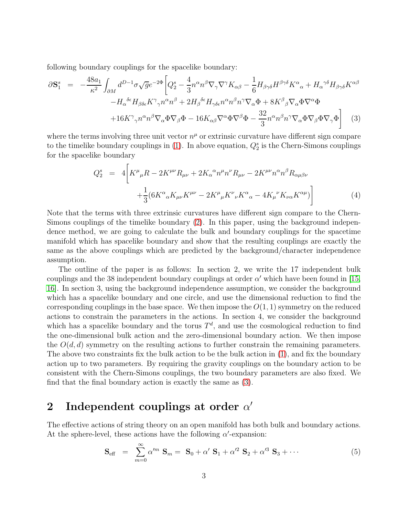following boundary couplings for the spacelike boundary:

<span id="page-3-0"></span>
$$
\partial \mathbf{S}_{1}^{s} = -\frac{48a_{1}}{\kappa^{2}} \int_{\partial M} d^{D-1} \sigma \sqrt{g} e^{-2\Phi} \left[ Q_{2}^{s} - \frac{4}{3} n^{\alpha} n^{\beta} \nabla_{\gamma} \nabla^{\gamma} K_{\alpha\beta} - \frac{1}{6} H_{\beta\gamma\delta} H^{\beta\gamma\delta} K^{\alpha}{}_{\alpha} + H_{\alpha}{}^{\gamma\delta} H_{\beta\gamma\delta} K^{\alpha\beta} \right] - H_{\alpha}{}^{\delta\epsilon} H_{\beta\delta\epsilon} K^{\gamma}{}_{\gamma} n^{\alpha} n^{\beta} + 2 H_{\beta}{}^{\delta\epsilon} H_{\gamma\delta\epsilon} n^{\alpha} n^{\beta} n^{\gamma} \nabla_{\alpha} \Phi + 8 K^{\beta}{}_{\beta} \nabla_{\alpha} \Phi \nabla^{\alpha} \Phi + 16 K^{\gamma}{}_{\gamma} n^{\alpha} n^{\beta} \nabla_{\alpha} \Phi \nabla_{\beta} \Phi - 16 K_{\alpha\beta} \nabla^{\alpha} \Phi \nabla^{\beta} \Phi - \frac{32}{3} n^{\alpha} n^{\beta} n^{\gamma} \nabla_{\alpha} \Phi \nabla_{\beta} \Phi \nabla_{\gamma} \Phi \right] \tag{3}
$$

where the terms involving three unit vector  $n^{\mu}$  or extrinsic curvature have different sign compare to the timelike boundary couplings in  $(1)$ . In above equation,  $Q_2^s$  is the Chern-Simons couplings for the spacelike boundary

<span id="page-3-1"></span>
$$
Q_2^s = 4 \left[ K^{\mu}{}_{\mu} R - 2K^{\mu\nu} R_{\mu\nu} + 2K_{\alpha}{}^{\alpha} n^{\mu} n^{\nu} R_{\mu\nu} - 2K^{\mu\nu} n^{\alpha} n^{\beta} R_{\alpha\mu\beta\nu} + \frac{1}{3} (6K^{\alpha}{}_{\alpha} K_{\mu\nu} K^{\mu\nu} - 2K^{\mu}{}_{\mu} K^{\nu}{}_{\nu} K^{\alpha}{}_{\alpha} - 4K_{\mu}{}^{\nu} K_{\nu\alpha} K^{\alpha\mu}) \right]
$$
(4)

Note that the terms with three extrinsic curvatures have different sign compare to the Chern-Simons couplings of the timelike boundary [\(2\)](#page-2-1). In this paper, using the background independence method, we are going to calculate the bulk and boundary couplings for the spacetime manifold which has spacelike boundary and show that the resulting couplings are exactly the same as the above couplings which are predicted by the background/character independence assumption.

The outline of the paper is as follows: In section 2, we write the 17 independent bulk couplings and the 38 independent boundary couplings at order  $\alpha'$  which have been found in [\[15,](#page-14-9) [16\]](#page-14-10). In section 3, using the background independence assumption, we consider the background which has a spacelike boundary and one circle, and use the dimensional reduction to find the corresponding couplings in the base space. We then impose the  $O(1, 1)$  symmetry on the reduced actions to constrain the parameters in the actions. In section 4, we consider the background which has a spacelike boundary and the torus  $T<sup>d</sup>$ , and use the cosmological reduction to find the one-dimensional bulk action and the zero-dimensional boundary action. We then impose the  $O(d, d)$  symmetry on the resulting actions to further constrain the remaining parameters. The above two constraints fix the bulk action to be the bulk action in [\(1\)](#page-2-0), and fix the boundary action up to two parameters. By requiring the gravity couplings on the boundary action to be consistent with the Chern-Simons couplings, the two boundary parameters are also fixed. We find that the final boundary action is exactly the same as [\(3\)](#page-3-0).

### 2 Independent couplings at order  $\alpha'$

The effective actions of string theory on an open manifold has both bulk and boundary actions. At the sphere-level, these actions have the following  $\alpha'$ -expansion:

$$
\mathbf{S}_{\text{eff}} = \sum_{m=0}^{\infty} \alpha^{\prime m} \mathbf{S}_m = \mathbf{S}_0 + \alpha^{\prime} \mathbf{S}_1 + \alpha^{\prime 2} \mathbf{S}_2 + \alpha^{\prime 3} \mathbf{S}_3 + \cdots
$$
 (5)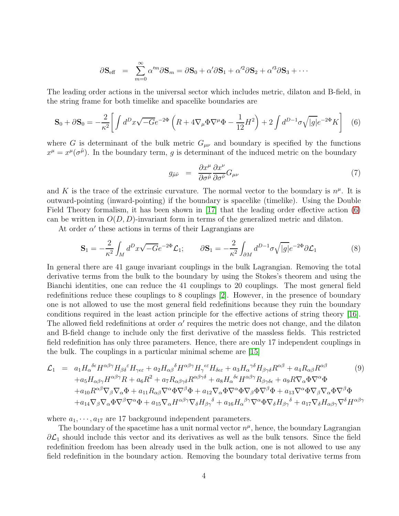$$
\partial \mathbf{S}_{\text{eff}} = \sum_{m=0}^{\infty} \alpha^{\prime m} \partial \mathbf{S}_m = \partial \mathbf{S}_0 + \alpha^{\prime} \partial \mathbf{S}_1 + \alpha^{\prime 2} \partial \mathbf{S}_2 + \alpha^{\prime 3} \partial \mathbf{S}_3 + \cdots
$$

The leading order actions in the universal sector which includes metric, dilaton and B-field, in the string frame for both timelike and spacelike boundaries are

<span id="page-4-0"></span>
$$
\mathbf{S}_0 + \partial \mathbf{S}_0 = -\frac{2}{\kappa^2} \bigg[ \int d^D x \sqrt{-G} e^{-2\Phi} \left( R + 4 \nabla_\mu \Phi \nabla^\mu \Phi - \frac{1}{12} H^2 \right) + 2 \int d^{D-1} \sigma \sqrt{|g|} e^{-2\Phi} K \bigg] \tag{6}
$$

where G is determinant of the bulk metric  $G_{\mu\nu}$  and boundary is specified by the functions  $x^{\mu} = x^{\mu}(\sigma^{\tilde{\mu}})$ . In the boundary term, g is determinant of the induced metric on the boundary

<span id="page-4-2"></span>
$$
g_{\tilde{\mu}\tilde{\nu}} = \frac{\partial x^{\mu}}{\partial \sigma^{\tilde{\mu}}} \frac{\partial x^{\nu}}{\partial \sigma^{\tilde{\nu}}} G_{\mu\nu} \tag{7}
$$

and K is the trace of the extrinsic curvature. The normal vector to the boundary is  $n^{\mu}$ . It is outward-pointing (inward-pointing) if the boundary is spacelike (timelike). Using the Double Field Theory formalism, it has been shown in [\[17\]](#page-14-13) that the leading order effective action [\(6\)](#page-4-0) can be written in  $O(D, D)$ -invariant form in terms of the generalized metric and dilaton.

At order  $\alpha'$  these actions in terms of their Lagrangians are

$$
\mathbf{S}_1 = -\frac{2}{\kappa^2} \int_M d^D x \sqrt{-G} e^{-2\Phi} \mathcal{L}_1; \qquad \partial \mathbf{S}_1 = -\frac{2}{\kappa^2} \int_{\partial M} d^{D-1} \sigma \sqrt{|g|} e^{-2\Phi} \partial \mathcal{L}_1 \tag{8}
$$

In general there are 41 gauge invariant couplings in the bulk Lagrangian. Removing the total derivative terms from the bulk to the boundary by using the Stokes's theorem and using the Bianchi identities, one can reduce the 41 couplings to 20 couplings. The most general field redefinitions reduce these couplings to 8 couplings [\[2\]](#page-13-1). However, in the presence of boundary one is not allowed to use the most general field redefinitions because they ruin the boundary conditions required in the least action principle for the effective actions of string theory [\[16\]](#page-14-10). The allowed field redefinitions at order  $\alpha'$  requires the metric does not change, and the dilaton and B-field change to include only the first derivative of the massless fields. This restricted field redefinition has only three parameters. Hence, there are only 17 independent couplings in the bulk. The couplings in a particular minimal scheme are [\[15\]](#page-14-9)

<span id="page-4-1"></span>
$$
\mathcal{L}_{1} = a_{1}H_{\alpha}^{\delta\epsilon}H^{\alpha\beta\gamma}H_{\beta\delta}{}^{\epsilon}H_{\gamma\epsilon\epsilon} + a_{2}H_{\alpha\beta}{}^{\delta}H^{\alpha\beta\gamma}H_{\gamma}{}^{\epsilon\epsilon}H_{\delta\epsilon\epsilon} + a_{3}H_{\alpha}{}^{\gamma\delta}H_{\beta\gamma\delta}R^{\alpha\beta} + a_{4}R_{\alpha\beta}R^{\alpha\beta} + a_{5}H_{\alpha\beta\gamma}H^{\alpha\beta\gamma}R + a_{6}R^{2} + a_{7}R_{\alpha\beta\gamma\delta}R^{\alpha\beta\gamma\delta} + a_{8}H_{\alpha}{}^{\delta\epsilon}H^{\alpha\beta\gamma}R_{\beta\gamma\delta\epsilon} + a_{9}R\nabla_{\alpha}\Phi\nabla^{\alpha}\Phi + a_{10}R^{\alpha\beta\gamma}\nabla_{\beta}\nabla_{\alpha}\Phi + a_{11}R_{\alpha\beta}\nabla^{\alpha}\Phi\nabla^{\beta}\Phi + a_{12}\nabla_{\alpha}\Phi\nabla^{\alpha}\Phi\nabla_{\beta}\Phi\nabla^{\beta}\Phi + a_{13}\nabla^{\alpha}\Phi\nabla_{\beta}\nabla_{\alpha}\Phi\nabla^{\beta}\Phi + a_{14}\nabla_{\beta}\nabla_{\alpha}\Phi\nabla^{\beta}\nabla^{\alpha}\Phi + a_{15}\nabla_{\alpha}H^{\alpha\beta\gamma}\nabla_{\delta}H_{\beta\gamma}{}^{\delta} + a_{16}H_{\alpha}{}^{\beta\gamma}\nabla^{\alpha}\Phi\nabla_{\delta}H_{\beta\gamma}{}^{\delta} + a_{17}\nabla_{\delta}H_{\alpha\beta\gamma}\nabla^{\delta}H^{\alpha\beta\gamma}
$$

where  $a_1, \dots, a_{17}$  are 17 background independent parameters.

The boundary of the spacetime has a unit normal vector  $n^{\mu}$ , hence, the boundary Lagrangian  $\partial \mathcal{L}_1$  should include this vector and its derivatives as well as the bulk tensors. Since the field redefinition freedom has been already used in the bulk action, one is not allowed to use any field redefinition in the boundary action. Removing the boundary total derivative terms from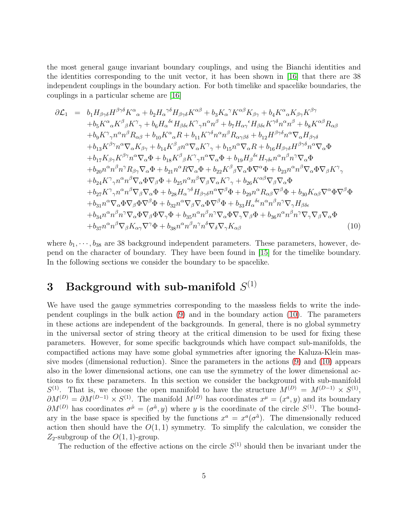the most general gauge invariant boundary couplings, and using the Bianchi identities and the identities corresponding to the unit vector, it has been shown in [\[16\]](#page-14-10) that there are 38 independent couplings in the boundary action. For both timelike and spacelike boundaries, the couplings in a particular scheme are [\[16\]](#page-14-10)

<span id="page-5-0"></span>
$$
\partial \mathcal{L}_{1} = b_{1} H_{\beta\gamma\delta} H^{\beta\gamma\delta} K^{\alpha}{}_{\alpha} + b_{2} H_{\alpha}{}^{\gamma\delta} H_{\beta\gamma\delta} K^{\alpha\beta} + b_{3} K_{\alpha}{}^{\gamma} K^{\alpha\beta} K_{\beta\gamma} + b_{4} K^{\alpha}{}_{\alpha} K_{\beta\gamma} K^{\beta\gamma} \n+ b_{5} K^{\alpha}{}_{\alpha} K^{\beta}{}_{\beta} K^{\gamma}{}_{\gamma} + b_{6} H_{\alpha}{}^{\delta\epsilon} H_{\beta\delta\epsilon} K^{\gamma}{}_{\gamma} n^{\alpha} n^{\beta} + b_{7} H_{\alpha\gamma}{}^{\epsilon} H_{\beta\delta\epsilon} K^{\gamma\delta} n^{\alpha} n^{\beta} + b_{8} K^{\alpha\beta} R_{\alpha\beta} \n+ b_{9} K^{\gamma}{}_{\gamma} n^{\alpha} n^{\beta} R_{\alpha\beta} + b_{10} K^{\alpha}{}_{\alpha} R + b_{11} K^{\gamma\delta} n^{\alpha} n^{\beta} R_{\alpha\gamma\beta\delta} + b_{12} H^{\beta\gamma\delta} n^{\alpha} \nabla_{\alpha} H_{\beta\gamma\delta} \n+ b_{13} K^{\beta\gamma} n^{\alpha} \nabla_{\alpha} K_{\beta\gamma} + b_{14} K^{\beta}{}_{\beta} n^{\alpha} \nabla_{\alpha} K^{\gamma}{}_{\gamma} + b_{15} n^{\alpha} \nabla_{\alpha} R + b_{16} H_{\beta\gamma\delta} n^{\beta} n^{\gamma} \nabla_{\alpha} \Phi \n+ b_{17} K_{\beta\gamma} K^{\beta\gamma} n^{\alpha} \nabla_{\alpha} \Phi + b_{18} K^{\beta}{}_{\beta} K^{\gamma}{}_{\gamma} n^{\alpha} \nabla_{\alpha} \Phi + b_{19} H_{\beta}{}^{\delta\epsilon} H_{\gamma\delta\epsilon} n^{\alpha} n^{\beta} n^{\gamma} \nabla_{\alpha} \Phi \n+ b_{20} n^{\alpha} n^{\beta} n^{\gamma} R_{\beta\gamma} \nabla_{\alpha} \Phi + b_{21} n^{\alpha} R \nabla_{\alpha} \Phi + b_{22} K^{\beta}{}_{\beta} \nabla_{\alpha} \Phi
$$

where  $b_1, \dots, b_{38}$  are 38 background independent parameters. These parameters, however, depend on the character of boundary. They have been found in [\[15\]](#page-14-9) for the timelike boundary. In the following sections we consider the boundary to be spacelike.

# $3$  Background with sub-manifold  $S^{(1)}$

We have used the gauge symmetries corresponding to the massless fields to write the independent couplings in the bulk action [\(9\)](#page-4-1) and in the boundary action [\(10\)](#page-5-0). The parameters in these actions are independent of the backgrounds. In general, there is no global symmetry in the universal sector of string theory at the critical dimension to be used for fixing these parameters. However, for some specific backgrounds which have compact sub-manifolds, the compactified actions may have some global symmetries after ignoring the Kaluza-Klein massive modes (dimensional reduction). Since the parameters in the actions [\(9\)](#page-4-1) and [\(10\)](#page-5-0) appears also in the lower dimensional actions, one can use the symmetry of the lower dimensional actions to fix these parameters. In this section we consider the background with sub-manifold  $S^{(1)}$ . That is, we choose the open manifold to have the structure  $M^{(D)} = M^{(D-1)} \times S^{(1)}$ ,  $\partial M^{(D)} = \partial M^{(D-1)} \times S^{(1)}$ . The manifold  $M^{(D)}$  has coordinates  $x^{\mu} = (x^a, y)$  and its boundary  $\partial M^{(D)}$  has coordinates  $\sigma^{\tilde{\mu}} = (\sigma^{\tilde{a}}, y)$  where y is the coordinate of the circle  $S^{(1)}$ . The boundary in the base space is specified by the functions  $x^a = x^a(\sigma^{\tilde{a}})$ . The dimensionally reduced action then should have the  $O(1,1)$  symmetry. To simplify the calculation, we consider the  $Z_2$ -subgroup of the  $O(1, 1)$ -group.

The reduction of the effective actions on the circle  $S^{(1)}$  should then be invariant under the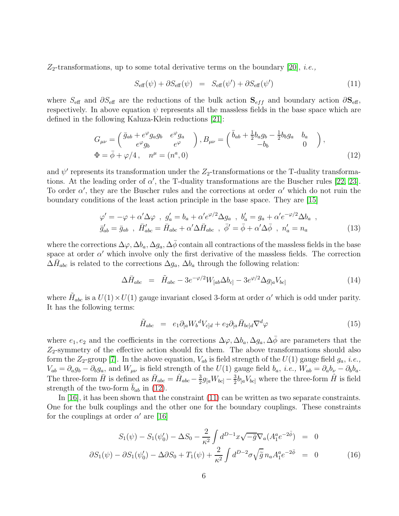$Z_2$ -transformations, up to some total derivative terms on the boundary [\[20\]](#page-14-14), *i.e.*,

<span id="page-6-1"></span>
$$
S_{\text{eff}}(\psi) + \partial S_{\text{eff}}(\psi) = S_{\text{eff}}(\psi') + \partial S_{\text{eff}}(\psi') \tag{11}
$$

where  $S_{\text{eff}}$  and  $\partial S_{\text{eff}}$  are the reductions of the bulk action  $S_{eff}$  and boundary action  $\partial S_{\text{eff}}$ , respectively. In above equation  $\psi$  represents all the massless fields in the base space which are defined in the following Kaluza-Klein reductions [\[21\]](#page-14-15):

<span id="page-6-0"></span>
$$
G_{\mu\nu} = \begin{pmatrix} \bar{g}_{ab} + e^{\varphi} g_a g_b & e^{\varphi} g_a \\ e^{\varphi} g_b & e^{\varphi} \end{pmatrix}, B_{\mu\nu} = \begin{pmatrix} \bar{b}_{ab} + \frac{1}{2} b_a g_b - \frac{1}{2} b_b g_a & b_a \\ -b_b & 0 \end{pmatrix},
$$
  
\n
$$
\Phi = \bar{\phi} + \varphi/4, \quad n^{\mu} = (n^a, 0)
$$
\n(12)

and  $\psi'$  represents its transformation under the  $Z_2$ -transformations or the T-duality transformations. At the leading order of  $\alpha'$ , the T-duality transformations are the Buscher rules [\[22,](#page-15-0) [23\]](#page-15-1). To order  $\alpha'$ , they are the Buscher rules and the corrections at order  $\alpha'$  which do not ruin the boundary conditions of the least action principle in the base space. They are [\[15\]](#page-14-9)

$$
\varphi' = -\varphi + \alpha' \Delta \varphi \ , \ g'_a = b_a + \alpha' e^{\varphi/2} \Delta g_a \ , \ b'_a = g_a + \alpha' e^{-\varphi/2} \Delta b_a \ ,
$$
  

$$
\bar{g}'_{ab} = \bar{g}_{ab} \ , \ \bar{H}'_{abc} = \bar{H}_{abc} + \alpha' \Delta \bar{H}_{abc} \ , \ \bar{\phi}' = \bar{\phi} + \alpha' \Delta \bar{\phi} \ , \ n'_a = n_a \tag{13}
$$

where the corrections  $\Delta\varphi$ ,  $\Delta b_a$ ,  $\Delta g_a$ ,  $\Delta \bar{\phi}$  contain all contractions of the massless fields in the base space at order  $\alpha'$  which involve only the first derivative of the massless fields. The correction  $\Delta \bar{H}_{abc}$  is related to the corrections  $\Delta g_a$ ,  $\Delta b_a$  through the following relation:

$$
\Delta \bar{H}_{abc} = \tilde{H}_{abc} - 3e^{-\varphi/2} W_{[ab} \Delta b_{c]} - 3e^{\varphi/2} \Delta g_{[a} V_{bc]} \tag{14}
$$

where  $\tilde{H}_{abc}$  is a  $U(1) \times U(1)$  gauge invariant closed 3-form at order  $\alpha'$  which is odd under parity. It has the following terms:

$$
\tilde{H}_{abc} = e_1 \partial_{[a} W_b{}^d V_{c]d} + e_2 \partial_{[a} \bar{H}_{bc]d} \nabla^d \varphi \tag{15}
$$

where  $e_1, e_2$  and the coefficients in the corrections  $\Delta\varphi, \Delta b_a, \Delta g_a, \Delta \bar{\phi}$  are parameters that the  $Z_2$ -symmetry of the effective action should fix them. The above transformations should also form the  $Z_2$ -group [\[7\]](#page-14-1). In the above equation,  $V_{ab}$  is field strength of the  $U(1)$  gauge field  $g_a$ , *i.e.*,  $V_{ab} = \partial_a g_b - \partial_b g_a$ , and  $W_{\mu\nu}$  is field strength of the  $U(1)$  gauge field  $b_a$ , *i.e.*,  $W_{ab} = \partial_a b_\nu - \partial_b b_a$ . The three-form  $\bar{H}$  is defined as  $\bar{H}_{abc} = \hat{H}_{abc} - \frac{3}{2}$  $\frac{3}{2}g_{[a}W_{bc]} - \frac{3}{2}$  $\frac{3}{2}b_{[a}V_{bc]}$  where the three-form  $\hat{H}$  is field strength of the two-form  $b_{ab}$  in [\(12\)](#page-6-0).

In [\[16\]](#page-14-10), it has been shown that the constraint [\(11\)](#page-6-1) can be written as two separate constraints. One for the bulk couplings and the other one for the boundary couplings. These constraints for the couplings at order  $\alpha'$  are [\[16\]](#page-14-10)

<span id="page-6-2"></span>
$$
S_1(\psi) - S_1(\psi'_0) - \Delta S_0 - \frac{2}{\kappa^2} \int d^{D-1}x \sqrt{-\bar{g}} \nabla_a (A_1^a e^{-2\bar{\phi}}) = 0
$$
  

$$
\partial S_1(\psi) - \partial S_1(\psi'_0) - \Delta \partial S_0 + T_1(\psi) + \frac{2}{\kappa^2} \int d^{D-2} \sigma \sqrt{\tilde{g}} n_a A_1^a e^{-2\bar{\phi}} = 0
$$
 (16)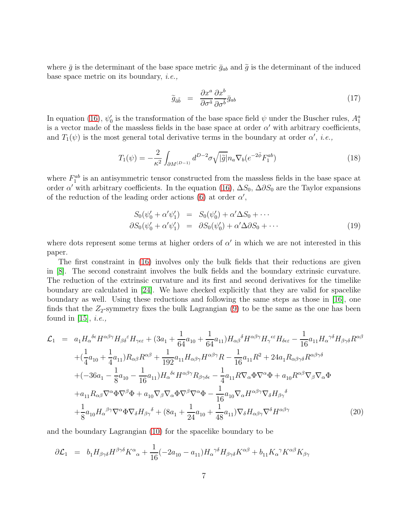where  $\bar{g}$  is the determinant of the base space metric  $\bar{g}_{ab}$  and  $\tilde{g}$  is the determinant of the induced base space metric on its boundary, i.e.,

$$
\widetilde{g}_{\tilde{a}\tilde{b}} = \frac{\partial x^a}{\partial \sigma^{\tilde{a}}} \frac{\partial x^b}{\partial \sigma^{\tilde{b}}} \bar{g}_{ab} \tag{17}
$$

In equation [\(16\)](#page-6-2),  $\psi_0'$ % is the transformation of the base space field  $\psi$  under the Buscher rules,  $A_1^a$ is a vector made of the massless fields in the base space at order  $\alpha'$  with arbitrary coefficients, and  $T_1(\psi)$  is the most general total derivative terms in the boundary at order  $\alpha'$ , *i.e.*,

$$
T_1(\psi) = -\frac{2}{\kappa^2} \int_{\partial M^{(D-1)}} d^{D-2} \sigma \sqrt{|\tilde{g}|} n_a \nabla_b (e^{-2\bar{\phi}} F_1^{ab}) \tag{18}
$$

where  $F_1^{ab}$  is an antisymmetric tensor constructed from the massless fields in the base space at order  $\alpha'$  with arbitrary coefficients. In the equation [\(16\)](#page-6-2),  $\Delta S_0$ ,  $\Delta \partial S_0$  are the Taylor expansions of the reduction of the leading order actions [\(6\)](#page-4-0) at order  $\alpha'$ ,

$$
S_0(\psi'_0 + \alpha'\psi'_1) = S_0(\psi'_0) + \alpha'\Delta S_0 + \cdots
$$
  
\n
$$
\partial S_0(\psi'_0 + \alpha'\psi'_1) = \partial S_0(\psi'_0) + \alpha'\Delta \partial S_0 + \cdots
$$
\n(19)

where dots represent some terms at higher orders of  $\alpha'$  in which we are not interested in this paper.

The first constraint in [\(16\)](#page-6-2) involves only the bulk fields that their reductions are given in [\[8\]](#page-14-2). The second constraint involves the bulk fields and the boundary extrinsic curvature. The reduction of the extrinsic curvature and its first and second derivatives for the timelike boundary are calculated in [\[24\]](#page-15-2). We have checked explicitly that they are valid for spacelike boundary as well. Using these reductions and following the same steps as those in [\[16\]](#page-14-10), one finds that the  $Z_2$ -symmetry fixes the bulk Lagrangian  $(9)$  to be the same as the one has been found in [\[15\]](#page-14-9), *i.e.*,

<span id="page-7-0"></span>
$$
\mathcal{L}_{1} = a_{1}H_{\alpha}^{\delta\epsilon}H^{\alpha\beta\gamma}H_{\beta\delta}{}^{\epsilon}H_{\gamma\epsilon\epsilon} + (3a_{1} + \frac{1}{64}a_{10} + \frac{1}{64}a_{11})H_{\alpha\beta}{}^{\delta}H^{\alpha\beta\gamma}H_{\gamma}{}^{\epsilon\epsilon}H_{\delta\epsilon\epsilon} - \frac{1}{16}a_{11}H_{\alpha}{}^{\gamma\delta}H_{\beta\gamma\delta}R^{\alpha\beta} \n+ (\frac{1}{4}a_{10} + \frac{1}{4}a_{11})R_{\alpha\beta}R^{\alpha\beta} + \frac{1}{192}a_{11}H_{\alpha\beta\gamma}H^{\alpha\beta\gamma}R - \frac{1}{16}a_{11}R^{2} + 24a_{1}R_{\alpha\beta\gamma\delta}R^{\alpha\beta\gamma\delta} \n+ (-36a_{1} - \frac{1}{8}a_{10} - \frac{1}{16}a_{11})H_{\alpha}{}^{\delta\epsilon}H^{\alpha\beta\gamma}R_{\beta\gamma\delta\epsilon} - \frac{1}{4}a_{11}R\nabla_{\alpha}\Phi\nabla^{\alpha}\Phi + a_{10}R^{\alpha\beta}\nabla_{\beta}\nabla_{\alpha}\Phi \n+ a_{11}R_{\alpha\beta}\nabla^{\alpha}\Phi\nabla^{\beta}\Phi + a_{10}\nabla_{\beta}\nabla_{\alpha}\Phi\nabla^{\beta}\nabla^{\alpha}\Phi - \frac{1}{16}a_{10}\nabla_{\alpha}H^{\alpha\beta\gamma}\nabla_{\delta}H_{\beta\gamma}{}^{\delta} \n+ \frac{1}{8}a_{10}H_{\alpha}{}^{\beta\gamma}\nabla^{\alpha}\Phi\nabla_{\delta}H_{\beta\gamma}{}^{\delta} + (8a_{1} + \frac{1}{24}a_{10} + \frac{1}{48}a_{11})\nabla_{\delta}H_{\alpha\beta\gamma}\nabla^{\delta}H^{\alpha\beta\gamma}
$$
\n(20)

and the boundary Lagrangian [\(10\)](#page-5-0) for the spacelike boundary to be

<span id="page-7-1"></span>
$$
\partial \mathcal{L}_1 = b_1 H_{\beta \gamma \delta} H^{\beta \gamma \delta} K^{\alpha}{}_{\alpha} + \frac{1}{16} (-2a_{10} - a_{11}) H_{\alpha}^{\gamma \delta} H_{\beta \gamma \delta} K^{\alpha \beta} + b_{11} K_{\alpha}^{\gamma} K^{\alpha \beta} K_{\beta \gamma}
$$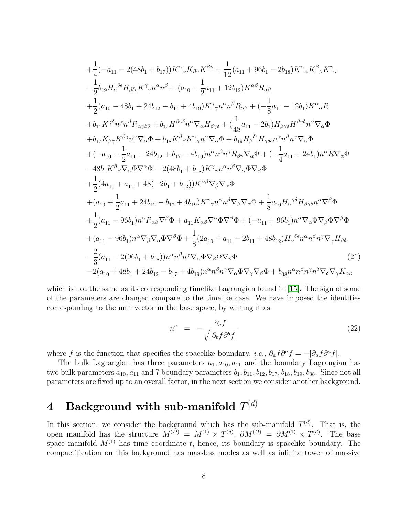$$
+\frac{1}{4}(-a_{11}-2(48b_{1}+b_{17}))K^{\alpha}{}_{\alpha}K_{\beta\gamma}K^{\beta\gamma} + \frac{1}{12}(a_{11}+96b_{1}-2b_{18})K^{\alpha}{}_{\alpha}K^{\beta}{}_{\beta}K^{\gamma}{}_{\gamma}\\ -\frac{1}{2}b_{19}H_{\alpha}{}^{\delta\epsilon}H_{\beta\delta\epsilon}K^{\gamma}{}_{\gamma}n^{\alpha}n^{\beta} + (a_{10}+\frac{1}{2}a_{11}+12b_{12})K^{\alpha\beta}R_{\alpha\beta}\\ +\frac{1}{2}(a_{10}-48b_{1}+24b_{12}-b_{17}+4b_{19})K^{\gamma}{}_{\gamma}n^{\alpha}n^{\beta}R_{\alpha\beta} + (-\frac{1}{8}a_{11}-12b_{1})K^{\alpha}{}_{\alpha}R\\ +b_{11}K^{\gamma\delta}n^{\alpha}n^{\beta}R_{\alpha\gamma\beta\delta} + b_{12}H^{\beta\gamma\delta}n^{\alpha}\nabla_{\alpha}H_{\beta\gamma\delta} + (\frac{1}{48}a_{11}-2b_{1})H_{\beta\gamma\delta}H^{\beta\gamma\delta}n^{\alpha}\nabla_{\alpha}\Phi\\ +b_{17}K_{\beta\gamma}K^{\beta\gamma}n^{\alpha}\nabla_{\alpha}\Phi + b_{18}K^{\beta}{}_{\beta}K^{\gamma}{}_{\gamma}n^{\alpha}\nabla_{\alpha}\Phi + b_{19}H_{\beta}{}^{\delta\epsilon}H_{\gamma\delta\epsilon}n^{\alpha}n^{\beta}n^{\gamma}\nabla_{\alpha}\Phi\\ +(-a_{10}-\frac{1}{2}a_{11}-24b_{12}+b_{17}-4b_{19})n^{\alpha}n^{\beta}n^{\gamma}R_{\beta\gamma}\nabla_{\alpha}\Phi + (-\frac{1}{4}a_{11}+24b_{1})n^{\alpha}R\nabla_{\alpha}\Phi\\ -48b_{1}K^{\beta}{}_{\beta}\nabla_{\alpha}\Phi\nabla^{\alpha}\Phi - 2(48b_{1}+b_{18})K^{\gamma}{}_{\gamma}n^{\alpha}n^{\beta}\nabla_{\alpha}\Phi\nabla_{\beta}\Phi\\ +\frac{1}{2}(4a_{10}+a_{11}+48(-
$$

which is not the same as its corresponding timelike Lagrangian found in [\[15\]](#page-14-9). The sign of some of the parameters are changed compare to the timelike case. We have imposed the identities corresponding to the unit vector in the base space, by writing it as

$$
n^a = -\frac{\partial_a f}{\sqrt{|\partial_b f \partial^b f|}}\tag{22}
$$

where f is the function that specifies the spacelike boundary, *i.e.*,  $\partial_a f \partial^a f = -|\partial_a f \partial^a f|$ .

The bulk Lagrangian has three parameters  $a_1, a_{10}, a_{11}$  and the boundary Lagrangian has two bulk parameters  $a_{10}$ ,  $a_{11}$  and 7 boundary parameters  $b_1$ ,  $b_{11}$ ,  $b_{12}$ ,  $b_{17}$ ,  $b_{18}$ ,  $b_{19}$ ,  $b_{38}$ . Since not all parameters are fixed up to an overall factor, in the next section we consider another background.

# ${\bf 4}\quad {\bf Background\,\, with\,\, sub-manifold}\,\, T^{(d)}$

In this section, we consider the background which has the sub-manifold  $T^{(d)}$ . That is, the open manifold has the structure  $M^{(D)} = M^{(1)} \times T^{(d)}$ ,  $\partial M^{(D)} = \partial M^{(1)} \times T^{(d)}$ . The base space manifold  $M^{(1)}$  has time coordinate t, hence, its boundary is spacelike boundary. The compactification on this background has massless modes as well as infinite tower of massive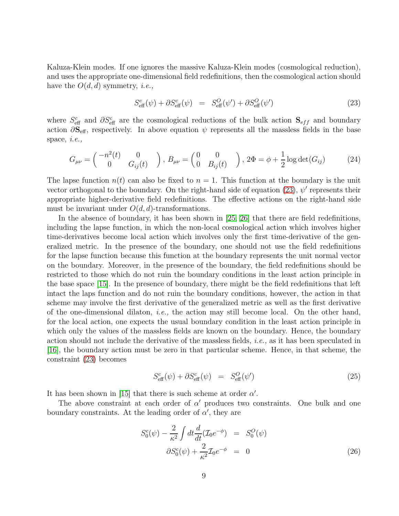Kaluza-Klein modes. If one ignores the massive Kaluza-Klein modes (cosmological reduction), and uses the appropriate one-dimensional field redefinitions, then the cosmological action should have the  $O(d,d)$  symmetry, *i.e.*,

<span id="page-9-0"></span>
$$
S_{\text{eff}}^{c}(\psi) + \partial S_{\text{eff}}^{c}(\psi) = S_{\text{eff}}^{O}(\psi') + \partial S_{\text{eff}}^{O}(\psi') \tag{23}
$$

where  $S_{\text{eff}}^c$  and  $\partial S_{\text{eff}}^c$  are the cosmological reductions of the bulk action  $\mathbf{S}_{eff}$  and boundary action  $\partial S_{\text{eff}}$ , respectively. In above equation  $\psi$  represents all the massless fields in the base space, i.e.,

$$
G_{\mu\nu} = \begin{pmatrix} -n^2(t) & 0 \\ 0 & G_{ij}(t) \end{pmatrix}, B_{\mu\nu} = \begin{pmatrix} 0 & 0 \\ 0 & B_{ij}(t) \end{pmatrix}, 2\Phi = \phi + \frac{1}{2}\log \det(G_{ij}) \tag{24}
$$

The lapse function  $n(t)$  can also be fixed to  $n = 1$ . This function at the boundary is the unit vector orthogonal to the boundary. On the right-hand side of equation [\(23\)](#page-9-0),  $\psi'$  represents their appropriate higher-derivative field redefinitions. The effective actions on the right-hand side must be invariant under  $O(d, d)$ -transformations.

In the absence of boundary, it has been shown in [\[25,](#page-15-3) [26\]](#page-15-4) that there are field redefinitions, including the lapse function, in which the non-local cosmological action which involves higher time-derivatives become local action which involves only the first time-derivative of the generalized metric. In the presence of the boundary, one should not use the field redefinitions for the lapse function because this function at the boundary represents the unit normal vector on the boundary. Moreover, in the presence of the boundary, the field redefinitions should be restricted to those which do not ruin the boundary conditions in the least action principle in the base space [\[15\]](#page-14-9). In the presence of boundary, there might be the field redefinitions that left intact the laps function and do not ruin the boundary conditions, however, the action in that scheme may involve the first derivative of the generalized metric as well as the first derivative of the one-dimensional dilaton, *i.e.*, the action may still become local. On the other hand, for the local action, one expects the usual boundary condition in the least action principle in which only the values of the massless fields are known on the boundary. Hence, the boundary action should not include the derivative of the massless fields, i.e., as it has been speculated in [\[16\]](#page-14-10), the boundary action must be zero in that particular scheme. Hence, in that scheme, the constraint [\(23\)](#page-9-0) becomes

<span id="page-9-2"></span>
$$
S_{\text{eff}}^{c}(\psi) + \partial S_{\text{eff}}^{c}(\psi) = S_{\text{eff}}^{O}(\psi') \tag{25}
$$

It has been shown in [\[15\]](#page-14-9) that there is such scheme at order  $\alpha'$ .

The above constraint at each order of  $\alpha'$  produces two constraints. One bulk and one boundary constraints. At the leading order of  $\alpha'$ , they are

<span id="page-9-1"></span>
$$
S_0^c(\psi) - \frac{2}{\kappa^2} \int dt \frac{d}{dt} (\mathcal{I}_0 e^{-\phi}) = S_0^O(\psi)
$$
  

$$
\partial S_0^c(\psi) + \frac{2}{\kappa^2} \mathcal{I}_0 e^{-\phi} = 0
$$
 (26)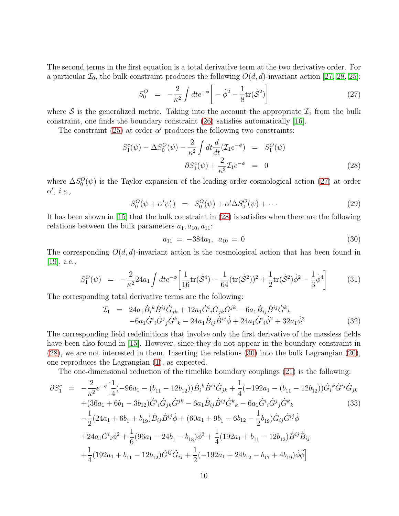The second terms in the first equation is a total derivative term at the two derivative order. For a particular  $\mathcal{I}_0$ , the bulk constraint produces the following  $O(d, d)$ -invariant action [\[27,](#page-15-5) [28,](#page-15-6) [25\]](#page-15-3):

<span id="page-10-0"></span>
$$
S_0^O = -\frac{2}{\kappa^2} \int dt e^{-\phi} \left[ -\dot{\phi}^2 - \frac{1}{8} \text{tr}(\dot{\mathcal{S}}^2) \right]
$$
 (27)

where  $S$  is the generalized metric. Taking into the account the appropriate  $\mathcal{I}_0$  from the bulk constraint, one finds the boundary constraint [\(26\)](#page-9-1) satisfies automatically [\[16\]](#page-14-10).

The constraint [\(25\)](#page-9-2) at order  $\alpha'$  produces the following two constraints:

<span id="page-10-1"></span>
$$
S_1^c(\psi) - \Delta S_0^O(\psi) - \frac{2}{\kappa^2} \int dt \frac{d}{dt} (\mathcal{I}_1 e^{-\phi}) = S_1^O(\psi)
$$
  

$$
\partial S_1^c(\psi) + \frac{2}{\kappa^2} \mathcal{I}_1 e^{-\phi} = 0
$$
 (28)

where  $\Delta S_0^O(\psi)$  is the Taylor expansion of the leading order cosmological action [\(27\)](#page-10-0) at order  $\alpha'$ , *i.e.*,

$$
S_0^O(\psi + \alpha' \psi_1') = S_0^O(\psi) + \alpha' \Delta S_0^O(\psi) + \cdots
$$
 (29)

It has been shown in [\[15\]](#page-14-9) that the bulk constraint in [\(28\)](#page-10-1) is satisfies when there are the following relations between the bulk parameters  $a_1, a_{10}, a_{11}$ :

<span id="page-10-2"></span>
$$
a_{11} = -384a_1, \ a_{10} = 0 \tag{30}
$$

The corresponding  $O(d, d)$ -invariant action is the cosmological action that has been found in  $[19], i.e.,$  $[19], i.e.,$ 

$$
S_1^O(\psi) = -\frac{2}{\kappa^2} 24a_1 \int dt e^{-\phi} \left[ \frac{1}{16} \text{tr}(\dot{\mathcal{S}}^4) - \frac{1}{64} (\text{tr}(\dot{\mathcal{S}}^2))^2 + \frac{1}{2} \text{tr}(\dot{\mathcal{S}}^2) \dot{\phi}^2 - \frac{1}{3} \dot{\phi}^4 \right] \tag{31}
$$

The corresponding total derivative terms are the following:

<span id="page-10-3"></span>
$$
\mathcal{I}_{1} = 24a_{1}\dot{B}_{i}{}^{k}\dot{B}^{ij}\dot{G}_{jk} + 12a_{1}\dot{G}^{i}{}_{i}\dot{G}_{jk}\dot{G}^{jk} - 6a_{1}\dot{B}_{ij}\dot{B}^{ij}\dot{G}^{k}{}_{k} \n-6a_{1}\dot{G}^{i}{}_{i}\dot{G}^{j}{}_{j}\dot{G}^{k}{}_{k} - 24a_{1}\dot{B}_{ij}\dot{B}^{ij}\dot{\phi} + 24a_{1}\dot{G}^{i}{}_{i}\dot{\phi}^{2} + 32a_{1}\dot{\phi}^{3}
$$
\n(32)

The corresponding field redefinitions that involve only the first derivative of the massless fields have been also found in [\[15\]](#page-14-9). However, since they do not appear in the boundary constraint in [\(28\)](#page-10-1), we are not interested in them. Inserting the relations [\(30\)](#page-10-2) into the bulk Lagrangian [\(20\)](#page-7-0), one reproduces the Lagrangian [\(1\)](#page-2-0), as expected.

The one-dimensional reduction of the timelike boundary couplings [\(21\)](#page-7-1) is the following:

$$
\partial S_{1}^{c} = -\frac{2}{\kappa^{2}} e^{-\phi} \Big[ \frac{1}{4} (-96a_{1} - (b_{11} - 12b_{12})) \dot{B}_{i}{}^{k} \dot{B}^{ij} \dot{G}_{jk} + \frac{1}{4} (-192a_{1} - (b_{11} - 12b_{12})) \dot{G}_{i}{}^{k} \dot{G}^{ij} \dot{G}_{jk} \n+ (36a_{1} + 6b_{1} - 3b_{12}) \dot{G}^{i}{}_{i} \dot{G}_{jk} \dot{G}^{jk} - 6a_{1} \dot{B}_{ij} \dot{B}^{ij} \dot{G}^{k}{}_{k} - 6a_{1} \dot{G}^{i}{}_{i} \dot{G}^{j}{}_{j} \dot{G}^{k}{}_{k} \n- \frac{1}{2} (24a_{1} + 6b_{1} + b_{19}) \dot{B}_{ij} \dot{B}^{ij} \dot{\phi} + (60a_{1} + 9b_{1} - 6b_{12} - \frac{1}{2} b_{19}) \dot{G}_{ij} \dot{G}^{ij} \dot{\phi} \n+ 24a_{1} \dot{G}^{i}{}_{i} \dot{\phi}^{2} + \frac{1}{6} (96a_{1} - 24b_{1} - b_{18}) \dot{\phi}^{3} + \frac{1}{4} (192a_{1} + b_{11} - 12b_{12}) \dot{B}^{ij} \ddot{B}_{ij} \n+ \frac{1}{4} (192a_{1} + b_{11} - 12b_{12}) \dot{G}^{ij} \ddot{G}_{ij} + \frac{1}{2} (-192a_{1} + 24b_{12} - b_{17} + 4b_{19}) \dot{\phi} \ddot{\phi} \Big]
$$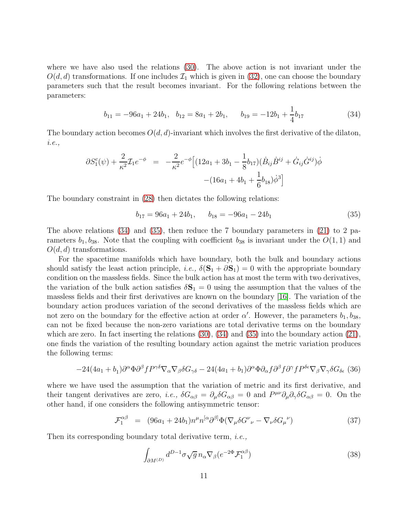where we have also used the relations [\(30\)](#page-10-2). The above action is not invariant under the  $O(d, d)$  transformations. If one includes  $\mathcal{I}_1$  which is given in [\(32\)](#page-10-3), one can choose the boundary parameters such that the result becomes invariant. For the following relations between the parameters:

<span id="page-11-0"></span>
$$
b_{11} = -96a_1 + 24b_1, \quad b_{12} = 8a_1 + 2b_1, \quad b_{19} = -12b_1 + \frac{1}{4}b_{17}
$$
 (34)

The boundary action becomes  $O(d, d)$ -invariant which involves the first derivative of the dilaton, i.e.,

$$
\partial S_1^c(\psi) + \frac{2}{\kappa^2} \mathcal{I}_1 e^{-\phi} = -\frac{2}{\kappa^2} e^{-\phi} \Big[ (12a_1 + 3b_1 - \frac{1}{8}b_{17})(\dot{B}_{ij}\dot{B}^{ij} + \dot{G}_{ij}\dot{G}^{ij})\dot{\phi} - (16a_1 + 4b_1 + \frac{1}{6}b_{18})\dot{\phi}^3 \Big]
$$

The boundary constraint in [\(28\)](#page-10-1) then dictates the following relations:

<span id="page-11-1"></span>
$$
b_{17} = 96a_1 + 24b_1, \qquad b_{18} = -96a_1 - 24b_1 \tag{35}
$$

The above relations [\(34\)](#page-11-0) and [\(35\)](#page-11-1), then reduce the 7 boundary parameters in [\(21\)](#page-7-1) to 2 parameters  $b_1, b_{38}$ . Note that the coupling with coefficient  $b_{38}$  is invariant under the  $O(1, 1)$  and  $O(d, d)$  transformations.

For the spacetime manifolds which have boundary, both the bulk and boundary actions should satisfy the least action principle, *i.e.*,  $\delta(\mathbf{S}_1 + \partial \mathbf{S}_1) = 0$  with the appropriate boundary condition on the massless fields. Since the bulk action has at most the term with two derivatives, the variation of the bulk action satisfies  $\delta S_1 = 0$  using the assumption that the values of the massless fields and their first derivatives are known on the boundary [\[16\]](#page-14-10). The variation of the boundary action produces variation of the second derivatives of the massless fields which are not zero on the boundary for the effective action at order  $\alpha'$ . However, the parameters  $b_1, b_{38}$ , can not be fixed because the non-zero variations are total derivative terms on the boundary which are zero. In fact inserting the relations  $(30)$ ,  $(34)$  and  $(35)$  into the boundary action  $(21)$ , one finds the variation of the resulting boundary action against the metric variation produces the following terms:

<span id="page-11-2"></span>
$$
-24(4a_1+b_1)\partial^{\alpha}\Phi\partial^{\beta}fP^{\gamma\delta}\nabla_{\alpha}\nabla_{\beta}\delta G_{\gamma\delta} - 24(4a_1+b_1)\partial^{\alpha}\Phi\partial_{\alpha}f\partial^{\beta}f\partial^{\gamma}fP^{\delta\epsilon}\nabla_{\beta}\nabla_{\gamma}\delta G_{\delta\epsilon}
$$
(36)

where we have used the assumption that the variation of metric and its first derivative, and their tangent derivatives are zero, *i.e.*,  $\delta G_{\alpha\beta} = \partial_{\mu} \delta G_{\alpha\beta} = 0$  and  $P^{\mu\nu} \partial_{\mu} \partial_{\gamma} \delta G_{\alpha\beta} = 0$ . On the other hand, if one considers the following antisymmetric tensor:

$$
\mathcal{F}_1^{\alpha\beta} = (96a_1 + 24b_1)n^{\mu}n^{[\alpha}\partial^{\beta]}\Phi(\nabla_{\mu}\delta G^{\nu}{}_{\nu} - \nabla_{\nu}\delta G_{\mu}{}^{\nu})
$$
\n(37)

Then its corresponding boundary total derivative term, *i.e.*,

$$
\int_{\partial M^{(D)}} d^{D-1} \sigma \sqrt{g} \, n_{\alpha} \nabla_{\beta} (e^{-2\Phi} \mathcal{F}_{1}^{\alpha\beta}) \tag{38}
$$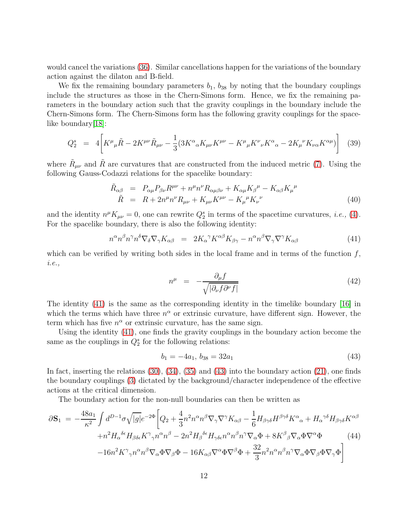would cancel the variations [\(36\)](#page-11-2). Similar cancellations happen for the variations of the boundary action against the dilaton and B-field.

We fix the remaining boundary parameters  $b_1$ ,  $b_{38}$  by noting that the boundary couplings include the structures as those in the Chern-Simons form. Hence, we fix the remaining parameters in the boundary action such that the gravity couplings in the boundary include the Chern-Simons form. The Chern-Simons form has the following gravity couplings for the space-like boundary [\[18\]](#page-14-11):

$$
Q_2^s = 4 \left[ K^{\mu}{}_{\mu} \tilde{R} - 2K^{\mu\nu} \tilde{R}_{\mu\nu} - \frac{1}{3} (3K^{\alpha}{}_{\alpha} K_{\mu\nu} K^{\mu\nu} - K^{\mu}{}_{\mu} K^{\nu}{}_{\nu} K^{\alpha}{}_{\alpha} - 2K_{\mu}{}^{\nu} K_{\nu\alpha} K^{\alpha\mu}) \right]
$$
(39)

where  $\tilde{R}_{\mu\nu}$  and  $\tilde{R}$  are curvatures that are constructed from the induced metric [\(7\)](#page-4-2). Using the following Gauss-Codazzi relations for the spacelike boundary:

$$
\tilde{R}_{\alpha\beta} = P_{\alpha\mu}P_{\beta\nu}R^{\mu\nu} + n^{\mu}n^{\nu}R_{\alpha\mu\beta\nu} + K_{\alpha\mu}K_{\beta}{}^{\mu} - K_{\alpha\beta}K_{\mu}{}^{\mu}
$$
\n
$$
\tilde{R} = R + 2n^{\mu}n^{\nu}R_{\mu\nu} + K_{\mu\nu}K^{\mu\nu} - K_{\mu}{}^{\mu}K_{\nu}{}^{\nu}
$$
\n(40)

and the identity  $n^{\mu}K_{\mu\nu}=0$ , one can rewrite  $Q_2^s$  in terms of the spacetime curvatures, *i.e.*, [\(4\)](#page-3-1). For the spacelike boundary, there is also the following identity:

<span id="page-12-0"></span>
$$
n^{\alpha}n^{\beta}n^{\gamma}n^{\delta}\nabla_{\delta}\nabla_{\gamma}K_{\alpha\beta} = 2K_{\alpha}{}^{\gamma}K^{\alpha\beta}K_{\beta\gamma} - n^{\alpha}n^{\beta}\nabla_{\gamma}\nabla^{\gamma}K_{\alpha\beta}
$$
(41)

which can be verified by writing both sides in the local frame and in terms of the function  $f$ , i.e.,

$$
n^{\mu} = -\frac{\partial_{\mu}f}{\sqrt{|\partial_{\nu}f \partial^{\nu}f|}} \tag{42}
$$

The identity [\(41\)](#page-12-0) is the same as the corresponding identity in the timelike boundary [\[16\]](#page-14-10) in which the terms which have three  $n^{\alpha}$  or extrinsic curvature, have different sign. However, the term which has five  $n^{\alpha}$  or extrinsic curvature, has the same sign.

Using the identity [\(41\)](#page-12-0), one finds the gravity couplings in the boundary action become the same as the couplings in  $Q_2^s$  for the following relations:

<span id="page-12-1"></span>
$$
b_1 = -4a_1, \, b_{38} = 32a_1 \tag{43}
$$

In fact, inserting the relations [\(30\)](#page-10-2), [\(34\)](#page-11-0), [\(35\)](#page-11-1) and [\(43\)](#page-12-1) into the boundary action [\(21\)](#page-7-1), one finds the boundary couplings [\(3\)](#page-3-0) dictated by the background/character independence of the effective actions at the critical dimension.

The boundary action for the non-null boundaries can then be written as

<span id="page-12-2"></span>
$$
\partial \mathbf{S}_{1} = -\frac{48a_{1}}{\kappa^{2}} \int d^{D-1} \sigma \sqrt{|g|} e^{-2\Phi} \left[ Q_{2} + \frac{4}{3} n^{2} n^{\alpha} n^{\beta} \nabla_{\gamma} \nabla^{\gamma} K_{\alpha\beta} - \frac{1}{6} H_{\beta\gamma\delta} H^{\beta\gamma\delta} K^{\alpha}{}_{\alpha} + H_{\alpha}{}^{\gamma\delta} H_{\beta\gamma\delta} K^{\alpha\beta} \right. \\
\left. + n^{2} H_{\alpha}{}^{\delta\epsilon} H_{\beta\delta\epsilon} K^{\gamma}{}_{\gamma} n^{\alpha} n^{\beta} - 2n^{2} H_{\beta}{}^{\delta\epsilon} H_{\gamma\delta\epsilon} n^{\alpha} n^{\beta} n^{\gamma} \nabla_{\alpha} \Phi + 8K^{\beta}{}_{\beta} \nabla_{\alpha} \Phi \nabla^{\alpha} \Phi \right] \tag{44}
$$
\n
$$
-16n^{2} K^{\gamma}{}_{\gamma} n^{\alpha} n^{\beta} \nabla_{\alpha} \Phi \nabla_{\beta} \Phi - 16 K_{\alpha\beta} \nabla^{\alpha} \Phi \nabla^{\beta} \Phi + \frac{32}{3} n^{2} n^{\alpha} n^{\beta} n^{\gamma} \nabla_{\alpha} \Phi \nabla_{\beta} \Phi \nabla_{\gamma} \Phi \right]
$$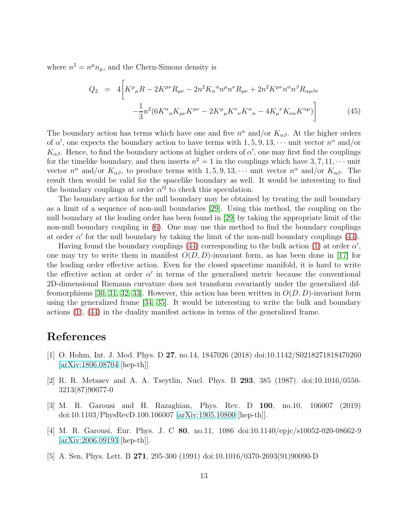where  $n^2 = n^{\mu}n_{\mu}$ , and the Chern-Simons density is

$$
Q_2 = 4\bigg[K^{\mu}{}_{\mu}R - 2K^{\mu\nu}R_{\mu\nu} - 2n^2K_{\alpha}{}^{\alpha}n^{\mu}n^{\nu}R_{\mu\nu} + 2n^2K^{\mu\nu}n^{\alpha}n^{\beta}R_{\alpha\mu\beta\nu} -\frac{1}{3}n^2(6K^{\alpha}{}_{\alpha}K_{\mu\nu}K^{\mu\nu} - 2K^{\mu}{}_{\mu}K^{\nu}{}_{\nu}K^{\alpha}{}_{\alpha} - 4K_{\mu}{}^{\nu}K_{\nu\alpha}K^{\alpha\mu})\bigg]
$$
(45)

The boundary action has terms which have one and five  $n^{\alpha}$  and/or  $K_{\alpha\beta}$ . At the higher orders of  $\alpha'$ , one expects the boundary action to have terms with  $1, 5, 9, 13, \cdots$  unit vector  $n^{\alpha}$  and/or  $K_{\alpha\beta}$ . Hence, to find the boundary actions at higher orders of  $\alpha'$ , one may first find the couplings for the timelike boundary, and then inserts  $n^2 = 1$  in the couplings which have  $3, 7, 11, \cdots$  unit vector  $n^{\alpha}$  and/or  $K_{\alpha\beta}$ , to produce terms with 1, 5, 9, 13,  $\cdots$  unit vector  $n^{\alpha}$  and/or  $K_{\alpha\beta}$ . The result then would be valid for the spacelike boundary as well. It would be interesting to find the boundary couplings at order  $\alpha'^2$  to check this speculation.

The boundary action for the null boundary may be obtained by treating the null boundary as a limit of a sequence of non-null boundaries [\[29\]](#page-15-7). Using this method, the coupling on the null boundary at the leading order has been found in [\[29\]](#page-15-7) by taking the appropriate limit of the non-null boundary coupling in [\(6\)](#page-4-0). One may use this method to find the boundary couplings at order  $\alpha'$  for the null boundary by taking the limit of the non-null boundary couplings [\(44\)](#page-12-2).

Having found the boundary couplings [\(44\)](#page-12-2) corresponding to the bulk action [\(1\)](#page-2-0) at order  $\alpha'$ , one may try to write them in manifest  $O(D, D)$ -invariant form, as has been done in [\[17\]](#page-14-13) for the leading order effective action. Even for the closed spacetime manifold, it is hard to write the effective action at order  $\alpha'$  in terms of the generalised metric because the conventional 2D-dimensional Riemann curvature does not transform covariantly under the generalized dif-feomorphisms [\[30,](#page-15-8) [31,](#page-15-9) [32,](#page-15-10) [33\]](#page-15-11). However, this action has been written in  $O(D, D)$ -invariant form using the generalized frame [\[34,](#page-15-12) [35\]](#page-15-13). It would be interesting to write the bulk and boundary actions [\(1\)](#page-2-0), [\(44\)](#page-12-2) in the duality manifest actions in terms of the generalized frame.

#### <span id="page-13-0"></span>References

- [1] O. Hohm, Int. J. Mod. Phys. D 27, no.14, 1847026 (2018) doi:10.1142/S0218271818470260 [\[arXiv:1806.08704](http://arxiv.org/abs/1806.08704) [hep-th]].
- <span id="page-13-1"></span>[2] R. R. Metsaev and A. A. Tseytlin, Nucl. Phys. B 293, 385 (1987). doi:10.1016/0550- 3213(87)90077-0
- <span id="page-13-2"></span>[3] M. R. Garousi and H. Razaghian, Phys. Rev. D 100, no.10, 106007 (2019) doi:10.1103/PhysRevD.100.106007 [\[arXiv:1905.10800](http://arxiv.org/abs/1905.10800) [hep-th]].
- <span id="page-13-3"></span>[4] M. R. Garousi, Eur. Phys. J. C 80, no.11, 1086 doi:10.1140/epjc/s10052-020-08662-9 [\[arXiv:2006.09193](http://arxiv.org/abs/2006.09193) [hep-th]].
- <span id="page-13-4"></span>[5] A. Sen, Phys. Lett. B 271, 295-300 (1991) doi:10.1016/0370-2693(91)90090-D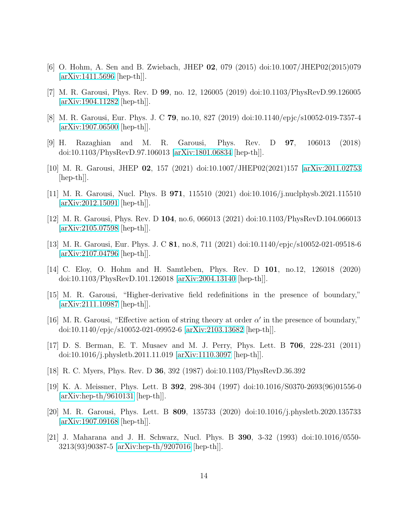- <span id="page-14-1"></span><span id="page-14-0"></span>[6] O. Hohm, A. Sen and B. Zwiebach, JHEP 02, 079 (2015) doi:10.1007/JHEP02(2015)079 [\[arXiv:1411.5696](http://arxiv.org/abs/1411.5696) [hep-th]].
- <span id="page-14-2"></span>[7] M. R. Garousi, Phys. Rev. D 99, no. 12, 126005 (2019) doi:10.1103/PhysRevD.99.126005 [\[arXiv:1904.11282](http://arxiv.org/abs/1904.11282) [hep-th]].
- <span id="page-14-3"></span>[8] M. R. Garousi, Eur. Phys. J. C 79, no.10, 827 (2019) doi:10.1140/epjc/s10052-019-7357-4 [\[arXiv:1907.06500](http://arxiv.org/abs/1907.06500) [hep-th]].
- <span id="page-14-4"></span>[9] H. Razaghian and M. R. Garousi, Phys. Rev. D 97, 106013 (2018) doi:10.1103/PhysRevD.97.106013 [\[arXiv:1801.06834](http://arxiv.org/abs/1801.06834) [hep-th]].
- <span id="page-14-5"></span>[10] M. R. Garousi, JHEP 02, 157 (2021) doi:10.1007/JHEP02(2021)157 [\[arXiv:2011.02753](http://arxiv.org/abs/2011.02753)  $\vert \text{hep-th} \vert$ .
- <span id="page-14-6"></span>[11] M. R. Garousi, Nucl. Phys. B 971, 115510 (2021) doi:10.1016/j.nuclphysb.2021.115510 [\[arXiv:2012.15091](http://arxiv.org/abs/2012.15091) [hep-th]].
- <span id="page-14-7"></span>[12] M. R. Garousi, Phys. Rev. D 104, no.6, 066013 (2021) doi:10.1103/PhysRevD.104.066013 [\[arXiv:2105.07598](http://arxiv.org/abs/2105.07598) [hep-th]].
- [13] M. R. Garousi, Eur. Phys. J. C 81, no.8, 711 (2021) doi:10.1140/epjc/s10052-021-09518-6 [\[arXiv:2107.04796](http://arxiv.org/abs/2107.04796) [hep-th]].
- <span id="page-14-8"></span>[14] C. Eloy, O. Hohm and H. Samtleben, Phys. Rev. D 101, no.12, 126018 (2020) doi:10.1103/PhysRevD.101.126018 [\[arXiv:2004.13140](http://arxiv.org/abs/2004.13140) [hep-th]].
- <span id="page-14-9"></span>[15] M. R. Garousi, "Higher-derivative field redefinitions in the presence of boundary," [\[arXiv:2111.10987](http://arxiv.org/abs/2111.10987) [hep-th]].
- <span id="page-14-10"></span>[16] M. R. Garousi, "Effective action of string theory at order  $\alpha'$  in the presence of boundary," doi:10.1140/epjc/s10052-021-09952-6 [\[arXiv:2103.13682](http://arxiv.org/abs/2103.13682) [hep-th]].
- <span id="page-14-13"></span>[17] D. S. Berman, E. T. Musaev and M. J. Perry, Phys. Lett. B 706, 228-231 (2011) doi:10.1016/j.physletb.2011.11.019 [\[arXiv:1110.3097](http://arxiv.org/abs/1110.3097) [hep-th]].
- <span id="page-14-12"></span><span id="page-14-11"></span>[18] R. C. Myers, Phys. Rev. D 36, 392 (1987) doi:10.1103/PhysRevD.36.392
- [19] K. A. Meissner, Phys. Lett. B 392, 298-304 (1997) doi:10.1016/S0370-2693(96)01556-0 [\[arXiv:hep-th/9610131](http://arxiv.org/abs/hep-th/9610131) [hep-th]].
- <span id="page-14-14"></span>[20] M. R. Garousi, Phys. Lett. B 809, 135733 (2020) doi:10.1016/j.physletb.2020.135733 [\[arXiv:1907.09168](http://arxiv.org/abs/1907.09168) [hep-th]].
- <span id="page-14-15"></span>[21] J. Maharana and J. H. Schwarz, Nucl. Phys. B 390, 3-32 (1993) doi:10.1016/0550- 3213(93)90387-5 [\[arXiv:hep-th/9207016](http://arxiv.org/abs/hep-th/9207016) [hep-th]].